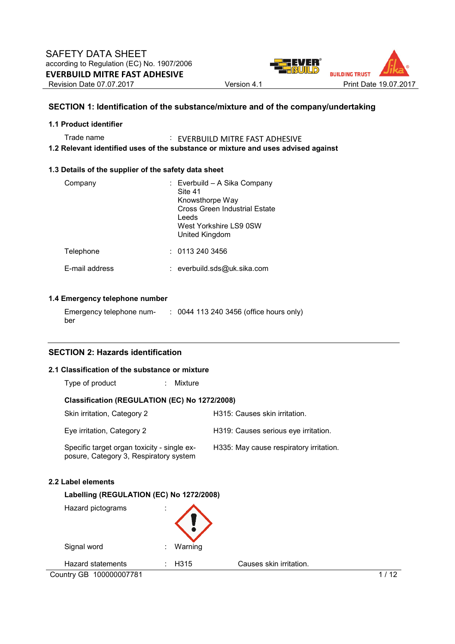

# **SECTION 1: Identification of the substance/mixture and of the company/undertaking**

### **1.1 Product identifier**

Trade name : EVERBUILD MITRE FAST ADHESIVE **1.2 Relevant identified uses of the substance or mixture and uses advised against** 

### **1.3 Details of the supplier of the safety data sheet**

| Company        | : Everbuild – A Sika Company<br>Site 41<br>Knowsthorpe Way<br>Cross Green Industrial Estate<br>Leeds<br>West Yorkshire LS9 0SW<br>United Kingdom |
|----------------|--------------------------------------------------------------------------------------------------------------------------------------------------|
| Telephone      | : 01132403456                                                                                                                                    |
| E-mail address | : everbuild.sds@uk.sika.com                                                                                                                      |

# **1.4 Emergency telephone number**

| Emergency telephone num- | : 0044 113 240 3456 (office hours only) |
|--------------------------|-----------------------------------------|
| ber                      |                                         |

# **SECTION 2: Hazards identification**

# **2.1 Classification of the substance or mixture**

| Type of product<br>Mixture                                                            |                                         |
|---------------------------------------------------------------------------------------|-----------------------------------------|
| Classification (REGULATION (EC) No 1272/2008)                                         |                                         |
| Skin irritation, Category 2                                                           | H315: Causes skin irritation.           |
| Eye irritation, Category 2                                                            | H319: Causes serious eye irritation.    |
| Specific target organ toxicity - single ex-<br>posure, Category 3, Respiratory system | H335: May cause respiratory irritation. |

### **2.2 Label elements**

### **Labelling (REGULATION (EC) No 1272/2008)**

| Hazard pictograms       | ٠<br>٠.      |                   |                         |      |
|-------------------------|--------------|-------------------|-------------------------|------|
| Signal word             | $\cdot$<br>٠ | Warning           |                         |      |
| Hazard statements       |              | H <sub>3</sub> 15 | Causes skin irritation. |      |
| Country GB 100000007781 |              |                   |                         | 1/12 |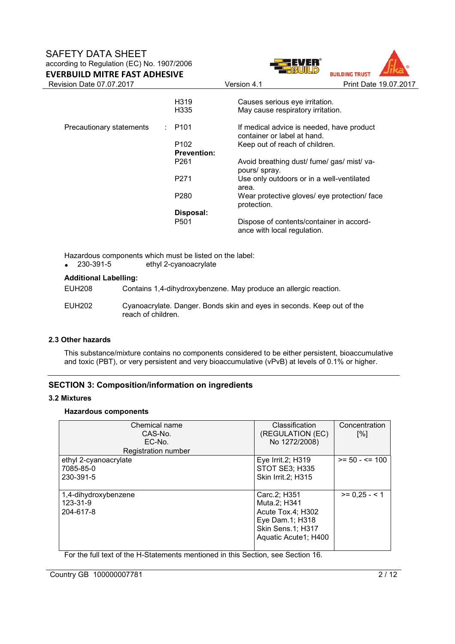# SAFETY DATA SHEET according to Regulation (EC) No. 1907/2006







| Revision Date 07.07.2017 |                                       | Version 4.1                                                              | Print Date 19.07.2017 |
|--------------------------|---------------------------------------|--------------------------------------------------------------------------|-----------------------|
|                          | H <sub>3</sub> 19<br>H <sub>335</sub> | Causes serious eye irritation.<br>May cause respiratory irritation.      |                       |
| Precautionary statements | $\therefore$ P101                     | If medical advice is needed, have product<br>container or label at hand. |                       |
|                          | P <sub>102</sub>                      | Keep out of reach of children.                                           |                       |
|                          | <b>Prevention:</b>                    |                                                                          |                       |
|                          | P <sub>261</sub>                      | Avoid breathing dust/ fume/ gas/ mist/ va-<br>pours/ spray.              |                       |
|                          | P271                                  | Use only outdoors or in a well-ventilated<br>area.                       |                       |
|                          | P280                                  | Wear protective gloves/ eye protection/ face<br>protection.              |                       |
|                          | Disposal:                             |                                                                          |                       |
|                          | P <sub>501</sub>                      | Dispose of contents/container in accord-<br>ance with local regulation.  |                       |
|                          |                                       |                                                                          |                       |

Hazardous components which must be listed on the label:<br>
• 230-391-5 ethyl 2-cyanoacrylate

ethyl 2-cyanoacrylate

# **Additional Labelling:**

EUH208 Contains 1,4-dihydroxybenzene. May produce an allergic reaction.

EUH202 Cyanoacrylate. Danger. Bonds skin and eyes in seconds. Keep out of the reach of children.

# **2.3 Other hazards**

This substance/mixture contains no components considered to be either persistent, bioaccumulative and toxic (PBT), or very persistent and very bioaccumulative (vPvB) at levels of 0.1% or higher.

# **SECTION 3: Composition/information on ingredients**

# **3.2 Mixtures**

# **Hazardous components**

| Chemical name<br>CAS-No.<br>EC-No.<br>Registration number | Classification<br>(REGULATION (EC)<br>No 1272/2008)                                                                      | Concentration<br>$\lceil \% \rceil$ |
|-----------------------------------------------------------|--------------------------------------------------------------------------------------------------------------------------|-------------------------------------|
| ethyl 2-cyanoacrylate<br>7085-85-0<br>230-391-5           | Eye Irrit.2; H319<br>STOT SE3; H335<br>Skin Irrit.2; H315                                                                | $>= 50 - \le 100$                   |
| 1,4-dihydroxybenzene<br>123-31-9<br>204-617-8             | Carc.2; H351<br>Muta.2; H341<br>Acute Tox.4; H302<br>Eye Dam.1; H318<br><b>Skin Sens.1; H317</b><br>Aquatic Acute1; H400 | $>= 0.25 - 1$                       |

For the full text of the H-Statements mentioned in this Section, see Section 16.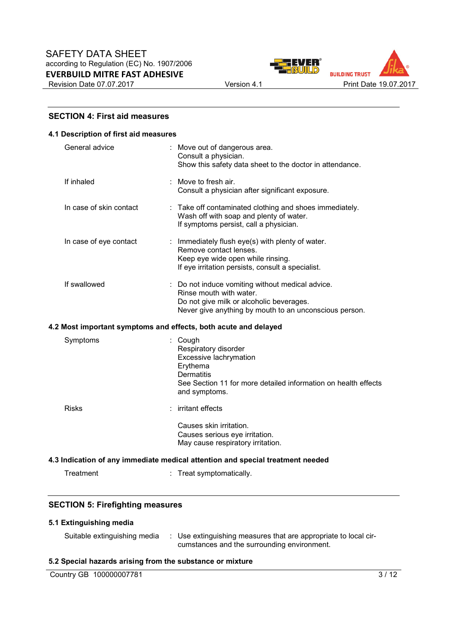



### **SECTION 4: First aid measures**

#### **4.1 Description of first aid measures**

| General advice          | : Move out of dangerous area.<br>Consult a physician.<br>Show this safety data sheet to the doctor in attendance.                                                                 |
|-------------------------|-----------------------------------------------------------------------------------------------------------------------------------------------------------------------------------|
| If inhaled              | : Move to fresh air.<br>Consult a physician after significant exposure.                                                                                                           |
| In case of skin contact | : Take off contaminated clothing and shoes immediately.<br>Wash off with soap and plenty of water.<br>If symptoms persist, call a physician.                                      |
| In case of eye contact  | : Immediately flush eye(s) with plenty of water.<br>Remove contact lenses.<br>Keep eye wide open while rinsing.<br>If eye irritation persists, consult a specialist.              |
| If swallowed            | : Do not induce vomiting without medical advice.<br>Rinse mouth with water.<br>Do not give milk or alcoholic beverages.<br>Never give anything by mouth to an unconscious person. |
|                         | 4.2 Most important symptoms and effects, both acute and delayed                                                                                                                   |
| Symptoms                | : Cough<br>Respiratory disorder<br>Excessive lachrymation<br>Erythema<br><b>Dermatitis</b><br>See Section 11 for more detailed information on health effects<br>and symptoms.     |
| <b>Risks</b>            | : irritant effects                                                                                                                                                                |
|                         | Causes skin irritation.                                                                                                                                                           |

# **4.3 Indication of any immediate medical attention and special treatment needed**

| Treatment | Treat symptomatically. |
|-----------|------------------------|
|-----------|------------------------|

### **SECTION 5: Firefighting measures**

# **5.1 Extinguishing media**

| Suitable extinguishing media | : Use extinguishing measures that are appropriate to local cir- |
|------------------------------|-----------------------------------------------------------------|
|                              | cumstances and the surrounding environment.                     |

Causes serious eye irritation. May cause respiratory irritation.

### **5.2 Special hazards arising from the substance or mixture**

Country GB 100000007781 3/12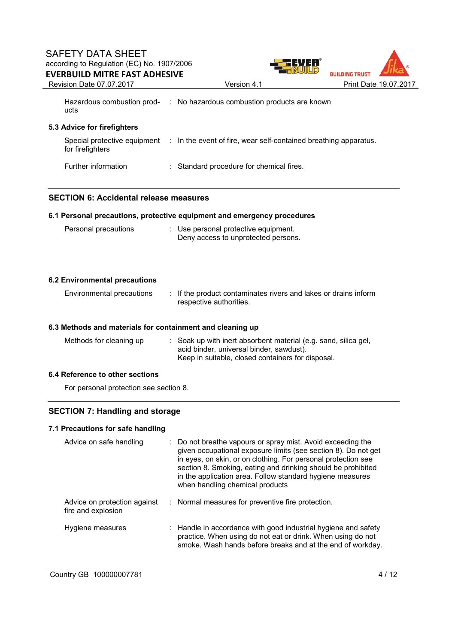

Revision Date 07.07.2017 Version 4.1 Print Date 19.07.2017

Hazardous combustion prod-: No hazardous combustion products are known ucts

# **5.3 Advice for firefighters**

| for firefighters    | Special protective equipment : In the event of fire, wear self-contained breathing apparatus. |
|---------------------|-----------------------------------------------------------------------------------------------|
| Further information | : Standard procedure for chemical fires.                                                      |

### **SECTION 6: Accidental release measures**

### **6.1 Personal precautions, protective equipment and emergency procedures**

| Personal precautions | : Use personal protective equipment. |
|----------------------|--------------------------------------|
|                      | Deny access to unprotected persons.  |

### **6.2 Environmental precautions**

| Environmental precautions | : If the product contaminates rivers and lakes or drains inform |
|---------------------------|-----------------------------------------------------------------|
|                           | respective authorities.                                         |

### **6.3 Methods and materials for containment and cleaning up**

| Methods for cleaning up | : Soak up with inert absorbent material (e.g. sand, silica gel, |
|-------------------------|-----------------------------------------------------------------|
|                         | acid binder, universal binder, sawdust).                        |
|                         | Keep in suitable, closed containers for disposal.               |

# **6.4 Reference to other sections**

For personal protection see section 8.

# **SECTION 7: Handling and storage**

### **7.1 Precautions for safe handling**

| Advice on safe handling                            | : Do not breathe vapours or spray mist. Avoid exceeding the<br>given occupational exposure limits (see section 8). Do not get<br>in eyes, on skin, or on clothing. For personal protection see<br>section 8. Smoking, eating and drinking should be prohibited<br>in the application area. Follow standard hygiene measures<br>when handling chemical products |
|----------------------------------------------------|----------------------------------------------------------------------------------------------------------------------------------------------------------------------------------------------------------------------------------------------------------------------------------------------------------------------------------------------------------------|
| Advice on protection against<br>fire and explosion | : Normal measures for preventive fire protection.                                                                                                                                                                                                                                                                                                              |
| Hygiene measures                                   | $\therefore$ Handle in accordance with good industrial hygiene and safety<br>practice. When using do not eat or drink. When using do not<br>smoke. Wash hands before breaks and at the end of workday.                                                                                                                                                         |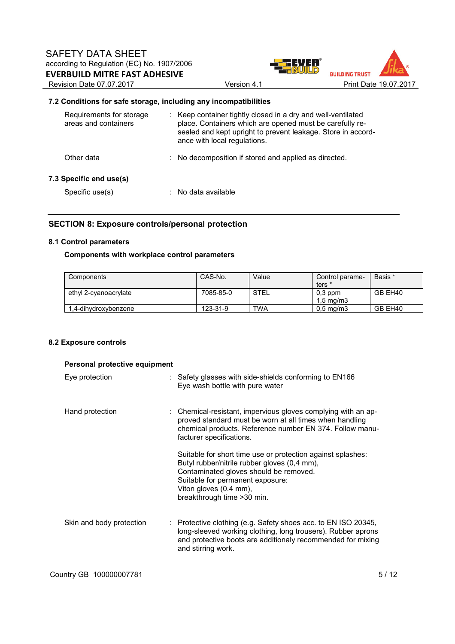



# **7.2 Conditions for safe storage, including any incompatibilities**

| Requirements for storage<br>areas and containers | : Keep container tightly closed in a dry and well-ventilated<br>place. Containers which are opened must be carefully re-<br>sealed and kept upright to prevent leakage. Store in accord-<br>ance with local regulations. |
|--------------------------------------------------|--------------------------------------------------------------------------------------------------------------------------------------------------------------------------------------------------------------------------|
| Other data                                       | : No decomposition if stored and applied as directed.                                                                                                                                                                    |
| 7.3 Specific end use(s)<br>Specific use(s)       | $\therefore$ No data available                                                                                                                                                                                           |
|                                                  |                                                                                                                                                                                                                          |

# **SECTION 8: Exposure controls/personal protection**

### **8.1 Control parameters**

# **Components with workplace control parameters**

| Components            | CAS-No.   | Value       | Control parame-                 | Basis * |
|-----------------------|-----------|-------------|---------------------------------|---------|
|                       |           |             | ters *                          |         |
| ethyl 2-cyanoacrylate | 7085-85-0 | <b>STEL</b> | $0.3$ ppm<br>$1.5 \text{ mg/m}$ | GB EH40 |
| 1.4-dihydroxybenzene  | 123-31-9  | <b>TWA</b>  | $0.5 \text{ mg/m}$              | GB EH40 |

### **8.2 Exposure controls**

| Personal protective equipment |                                                                                                                                                                                                                                                    |  |  |  |  |
|-------------------------------|----------------------------------------------------------------------------------------------------------------------------------------------------------------------------------------------------------------------------------------------------|--|--|--|--|
| Eye protection                | $\therefore$ Safety glasses with side-shields conforming to EN166<br>Eye wash bottle with pure water                                                                                                                                               |  |  |  |  |
| Hand protection               | : Chemical-resistant, impervious gloves complying with an ap-<br>proved standard must be worn at all times when handling<br>chemical products. Reference number EN 374. Follow manu-<br>facturer specifications.                                   |  |  |  |  |
|                               | Suitable for short time use or protection against splashes:<br>Butyl rubber/nitrile rubber gloves (0,4 mm),<br>Contaminated gloves should be removed.<br>Suitable for permanent exposure:<br>Viton gloves (0.4 mm),<br>breakthrough time > 30 min. |  |  |  |  |
| Skin and body protection      | : Protective clothing (e.g. Safety shoes acc. to EN ISO 20345,<br>long-sleeved working clothing, long trousers). Rubber aprons<br>and protective boots are additionaly recommended for mixing<br>and stirring work.                                |  |  |  |  |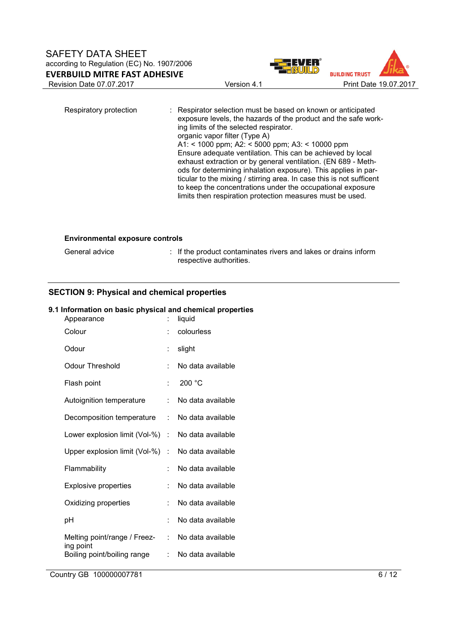

Respiratory protection : Respirator selection must be based on known or anticipated exposure levels, the hazards of the product and the safe working limits of the selected respirator. organic vapor filter (Type A) A1: < 1000 ppm; A2: < 5000 ppm; A3: < 10000 ppm Ensure adequate ventilation. This can be achieved by local exhaust extraction or by general ventilation. (EN 689 - Methods for determining inhalation exposure). This applies in particular to the mixing / stirring area. In case this is not sufficent to keep the concentrations under the occupational exposure limits then respiration protection measures must be used.

#### **Environmental exposure controls**

General advice **interpreneutial interpreneut in the product contaminates rivers and lakes or drains inform** respective authorities.

# **SECTION 9: Physical and chemical properties**

### **9.1 Information on basic physical and chemical properties**

| t  | liquid            |
|----|-------------------|
|    | colourless        |
| t  | slight            |
| t  | No data available |
| f  | 200 °C            |
| t  | No data available |
| t. | No data available |
|    | No data available |
| t. | No data available |
| t  | No data available |
| t  | No data available |
| t  | No data available |
| t  | No data available |
| t. | No data available |
| t  | No data available |
|    | t.                |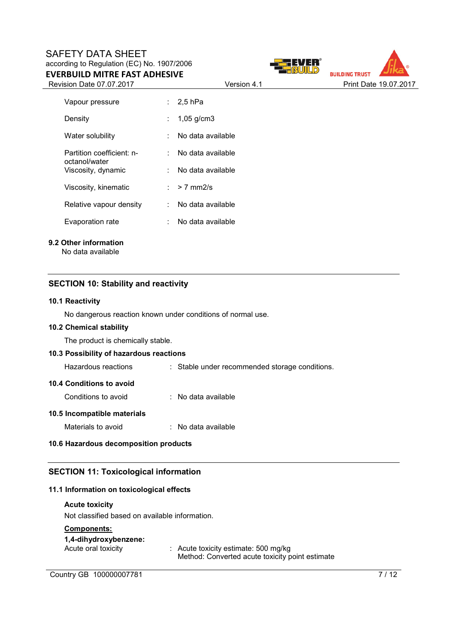# SAFETY DATA SHEET according to Regulation (EC) No. 1907/2006 **EVERBUILD MITRE FAST ADHESIVE**

Revision Date 07.07.2017 **Version 4.1** Print Date 19.07.2017



| Vapour pressure                     |     | : 2.5 hPa         |
|-------------------------------------|-----|-------------------|
| Density                             |     | $1,05$ g/cm3      |
| Water solubility                    |     | No data available |
| Partition coefficient: n-           |     | No data available |
| octanol/water<br>Viscosity, dynamic |     | No data available |
| Viscosity, kinematic                |     | : $> 7$ mm2/s     |
| Relative vapour density             | × 1 | No data available |
| Evaporation rate                    |     | No data available |

# **9.2 Other information**

No data available

# **SECTION 10: Stability and reactivity**

### **10.1 Reactivity**

No dangerous reaction known under conditions of normal use.

### **10.2 Chemical stability**

The product is chemically stable.

### **10.3 Possibility of hazardous reactions**

Hazardous reactions : Stable under recommended storage conditions.

### **10.4 Conditions to avoid**

Conditions to avoid : No data available

### **10.5 Incompatible materials**

Materials to avoid : No data available

# **10.6 Hazardous decomposition products**

# **SECTION 11: Toxicological information**

# **11.1 Information on toxicological effects**

### **Acute toxicity**

Not classified based on available information.

### **Components:**

### **1,4-dihydroxybenzene:**

Acute oral toxicity : Acute toxicity estimate: 500 mg/kg Method: Converted acute toxicity point estimate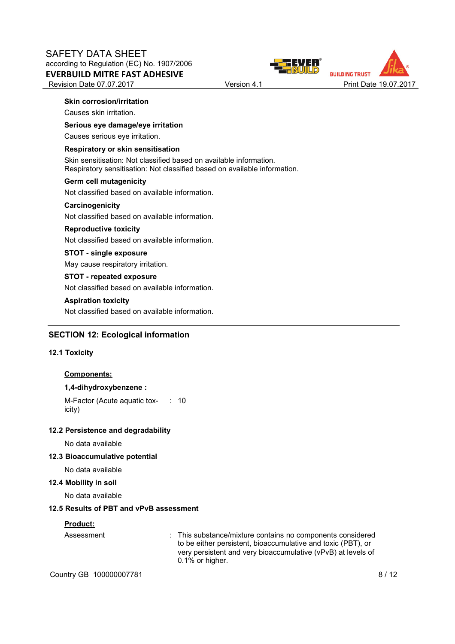

### **Skin corrosion/irritation**

Causes skin irritation.

# **Serious eye damage/eye irritation**

Causes serious eye irritation.

### **Respiratory or skin sensitisation**

Skin sensitisation: Not classified based on available information. Respiratory sensitisation: Not classified based on available information.

#### **Germ cell mutagenicity**

Not classified based on available information.

#### **Carcinogenicity**

Not classified based on available information.

### **Reproductive toxicity**

Not classified based on available information.

# **STOT - single exposure**

May cause respiratory irritation.

### **STOT - repeated exposure**

Not classified based on available information.

### **Aspiration toxicity**

Not classified based on available information.

# **SECTION 12: Ecological information**

### **12.1 Toxicity**

## **Components:**

# **1,4-dihydroxybenzene :**

M-Factor (Acute aquatic toxicity) : 10

# **12.2 Persistence and degradability**

No data available

### **12.3 Bioaccumulative potential**

No data available

### **12.4 Mobility in soil**

No data available

# **12.5 Results of PBT and vPvB assessment**

# **Product:**

Assessment : This substance/mixture contains no components considered to be either persistent, bioaccumulative and toxic (PBT), or very persistent and very bioaccumulative (vPvB) at levels of 0.1% or higher.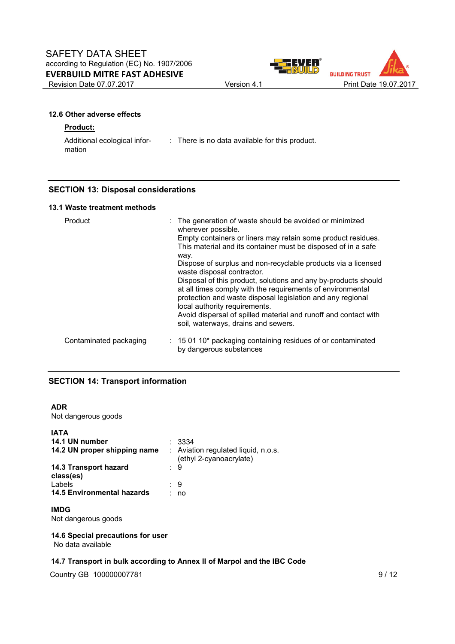





# **12.6 Other adverse effects**

### **Product:**

mation

Additional ecological infor-: There is no data available for this product.

# **SECTION 13: Disposal considerations**

### **13.1 Waste treatment methods**

| Product                | : The generation of waste should be avoided or minimized<br>wherever possible.<br>Empty containers or liners may retain some product residues.<br>This material and its container must be disposed of in a safe<br>way.<br>Dispose of surplus and non-recyclable products via a licensed<br>waste disposal contractor.<br>Disposal of this product, solutions and any by-products should<br>at all times comply with the requirements of environmental<br>protection and waste disposal legislation and any regional<br>local authority requirements.<br>Avoid dispersal of spilled material and runoff and contact with<br>soil, waterways, drains and sewers. |
|------------------------|-----------------------------------------------------------------------------------------------------------------------------------------------------------------------------------------------------------------------------------------------------------------------------------------------------------------------------------------------------------------------------------------------------------------------------------------------------------------------------------------------------------------------------------------------------------------------------------------------------------------------------------------------------------------|
| Contaminated packaging | $\therefore$ 15 01 10* packaging containing residues of or contaminated<br>by dangerous substances                                                                                                                                                                                                                                                                                                                                                                                                                                                                                                                                                              |

# **SECTION 14: Transport information**

### **ADR**

Not dangerous goods

| <b>IATA</b><br>14.1 UN number<br>14.2 UN proper shipping name | $\therefore$ 3334<br>: Aviation regulated liquid, n.o.s.<br>(ethyl 2-cyanoacrylate) |
|---------------------------------------------------------------|-------------------------------------------------------------------------------------|
| 14.3 Transport hazard<br>class(es)                            | : 9                                                                                 |
| Labels<br><b>14.5 Environmental hazards</b>                   | : 9<br>no                                                                           |

# **IMDG**

Not dangerous goods

# **14.6 Special precautions for user**

No data available

# **14.7 Transport in bulk according to Annex II of Marpol and the IBC Code**

Country GB 100000007781 9/12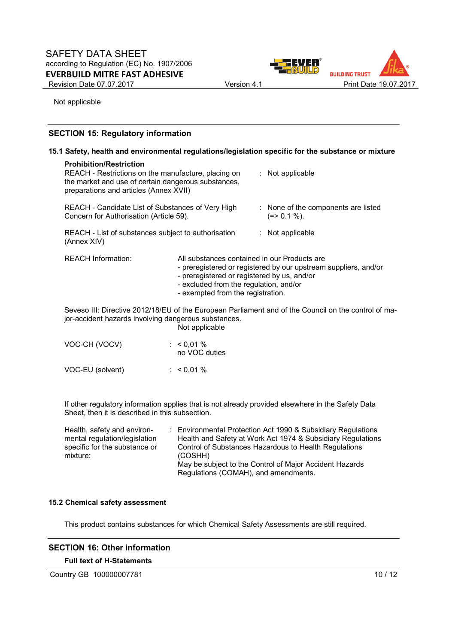

Not applicable

# **SECTION 15: Regulatory information**

| 15.1 Safety, health and environmental regulations/legislation specific for the substance or mixture |                                                                                                                                                                                                            |  |                                                                                                                                                                            |  |                                                                                                      |
|-----------------------------------------------------------------------------------------------------|------------------------------------------------------------------------------------------------------------------------------------------------------------------------------------------------------------|--|----------------------------------------------------------------------------------------------------------------------------------------------------------------------------|--|------------------------------------------------------------------------------------------------------|
|                                                                                                     | <b>Prohibition/Restriction</b><br>REACH - Restrictions on the manufacture, placing on<br>: Not applicable<br>the market and use of certain dangerous substances,<br>preparations and articles (Annex XVII) |  |                                                                                                                                                                            |  |                                                                                                      |
|                                                                                                     | REACH - Candidate List of Substances of Very High<br>Concern for Authorisation (Article 59).                                                                                                               |  |                                                                                                                                                                            |  | : None of the components are listed<br>$(=>0.1\%).$                                                  |
|                                                                                                     | REACH - List of substances subject to authorisation<br>(Annex XIV)                                                                                                                                         |  |                                                                                                                                                                            |  | : Not applicable                                                                                     |
|                                                                                                     | <b>REACH Information:</b>                                                                                                                                                                                  |  | All substances contained in our Products are<br>- preregistered or registered by us, and/or<br>- excluded from the regulation, and/or<br>- exempted from the registration. |  | - preregistered or registered by our upstream suppliers, and/or                                      |
|                                                                                                     | jor-accident hazards involving dangerous substances.                                                                                                                                                       |  | Not applicable                                                                                                                                                             |  | Seveso III: Directive 2012/18/EU of the European Parliament and of the Council on the control of ma- |
|                                                                                                     | VOC-CH (VOCV)                                                                                                                                                                                              |  | : $< 0.01 \%$<br>no VOC duties                                                                                                                                             |  |                                                                                                      |
|                                                                                                     | VOC-EU (solvent)                                                                                                                                                                                           |  | : $< 0.01 %$                                                                                                                                                               |  |                                                                                                      |

If other regulatory information applies that is not already provided elsewhere in the Safety Data Sheet, then it is described in this subsection.

| Health, safety and environ-   | : Environmental Protection Act 1990 & Subsidiary Regulations |
|-------------------------------|--------------------------------------------------------------|
| mental regulation/legislation | Health and Safety at Work Act 1974 & Subsidiary Regulations  |
| specific for the substance or | Control of Substances Hazardous to Health Regulations        |
| mixture:                      | (COSHH)                                                      |
|                               | May be subject to the Control of Major Accident Hazards      |
|                               | Regulations (COMAH), and amendments.                         |

### **15.2 Chemical safety assessment**

This product contains substances for which Chemical Safety Assessments are still required.

# **SECTION 16: Other information**

### **Full text of H-Statements**

Country GB 100000007781 10 / 12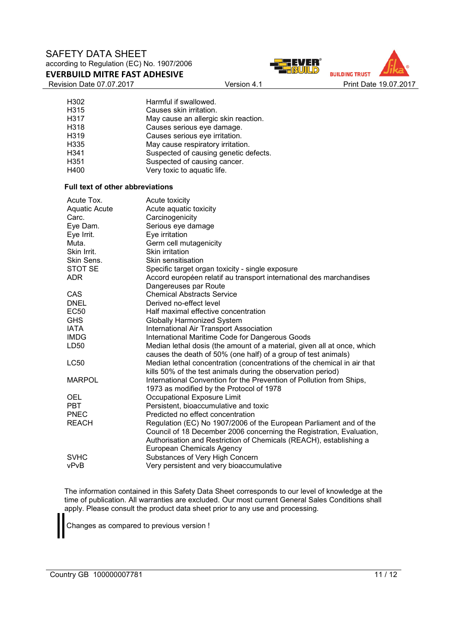# SAFETY DATA SHEET according to Regulation (EC) No. 1907/2006 **EVERBUILD MITRE FAST ADHESIVE**

Revision Date 07.07.2017 **Version 4.1** Print Date 19.07.2017





| H302             | Harmful if swallowed.                 |
|------------------|---------------------------------------|
| H315             | Causes skin irritation.               |
| H317             | May cause an allergic skin reaction.  |
| H318             | Causes serious eye damage.            |
| H319             | Causes serious eye irritation.        |
| H335             | May cause respiratory irritation.     |
| H341             | Suspected of causing genetic defects. |
| H <sub>351</sub> | Suspected of causing cancer.          |
| H400             | Very toxic to aquatic life.           |

#### **Full text of other abbreviations**

| Acute Tox.           | Acute toxicity                                                          |
|----------------------|-------------------------------------------------------------------------|
| <b>Aquatic Acute</b> | Acute aquatic toxicity                                                  |
| Carc.                | Carcinogenicity                                                         |
| Eye Dam.             | Serious eye damage                                                      |
| Eye Irrit.           | Eye irritation                                                          |
| Muta.                | Germ cell mutagenicity                                                  |
| Skin Irrit.          | Skin irritation                                                         |
| Skin Sens.           | Skin sensitisation                                                      |
| STOT SE              | Specific target organ toxicity - single exposure                        |
| <b>ADR</b>           | Accord européen relatif au transport international des marchandises     |
|                      | Dangereuses par Route                                                   |
| <b>CAS</b>           | <b>Chemical Abstracts Service</b>                                       |
| <b>DNEL</b>          | Derived no-effect level                                                 |
| <b>EC50</b>          | Half maximal effective concentration                                    |
| <b>GHS</b>           | Globally Harmonized System                                              |
| <b>IATA</b>          | International Air Transport Association                                 |
| <b>IMDG</b>          | International Maritime Code for Dangerous Goods                         |
| LD50                 | Median lethal dosis (the amount of a material, given all at once, which |
|                      | causes the death of 50% (one half) of a group of test animals)          |
| <b>LC50</b>          | Median lethal concentration (concentrations of the chemical in air that |
|                      | kills 50% of the test animals during the observation period)            |
| <b>MARPOL</b>        | International Convention for the Prevention of Pollution from Ships,    |
|                      | 1973 as modified by the Protocol of 1978                                |
| OEL                  | Occupational Exposure Limit                                             |
| <b>PBT</b>           | Persistent, bioaccumulative and toxic                                   |
| <b>PNEC</b>          | Predicted no effect concentration                                       |
| <b>REACH</b>         | Regulation (EC) No 1907/2006 of the European Parliament and of the      |
|                      | Council of 18 December 2006 concerning the Registration, Evaluation,    |
|                      | Authorisation and Restriction of Chemicals (REACH), establishing a      |
|                      | <b>European Chemicals Agency</b>                                        |
| <b>SVHC</b>          | Substances of Very High Concern                                         |
| vPvB                 | Very persistent and very bioaccumulative                                |

The information contained in this Safety Data Sheet corresponds to our level of knowledge at the time of publication. All warranties are excluded. Our most current General Sales Conditions shall apply. Please consult the product data sheet prior to any use and processing.

Changes as compared to previous version !